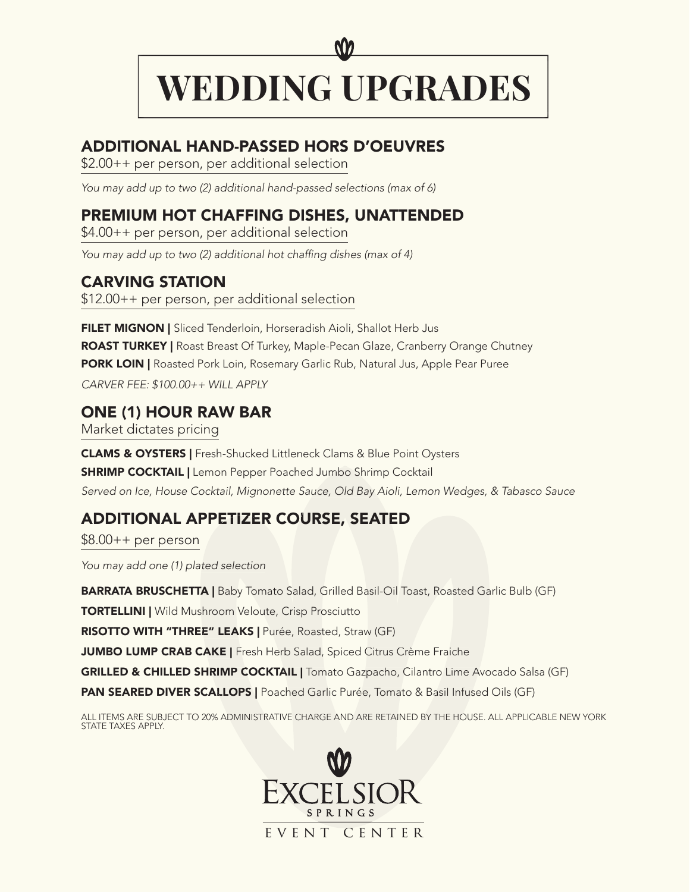## ADDITIONAL HAND-PASSED HORS D'OEUVRES

\$2.00++ per person, per additional selection

*You may add up to two (2) additional hand-passed selections (max of 6)*

# PREMIUM HOT CHAFFING DISHES, UNATTENDED

\$4.00++ per person, per additional selection

You may add up to two (2) additional hot chaffing dishes (max of 4)

### CARVING STATION

\$12.00++ per person, per additional selection

FILET MIGNON | Sliced Tenderloin, Horseradish Aioli, Shallot Herb Jus ROAST TURKEY | Roast Breast Of Turkey, Maple-Pecan Glaze, Cranberry Orange Chutney **PORK LOIN | Roasted Pork Loin, Rosemary Garlic Rub, Natural Jus, Apple Pear Puree** *CARVER FEE: \$100.00++ WILL APPLY* **IAL HAND-PASSED HORS D'OEUVRES**<br> **IAL HAND-PASSED HORS D'OEUVRES**<br>
person, per additional selection<br>
b to two (2) additional hand-passed selections (max of 6)<br> **HOT CHAFFING DISHES, UNATTENDED**<br>
person, per additional sel

### ONE (1) HOUR RAW BAR

Market dictates pricing

CLAMS & OYSTERS | Fresh-Shucked Littleneck Clams & Blue Point Oysters **SHRIMP COCKTAIL | Lemon Pepper Poached Jumbo Shrimp Cocktail** Served on Ice, House Cocktail, Mignonette Sauce, Old Bay Aioli, Lemon Wedges, & Tabasco Sauce

# ADDITIONAL APPETIZER COURSE, SEATED

 $$8.00++$  per person

*You may add one (1) plated selection*

**BARRATA BRUSCHETTA** | Baby Tomato Salad, Grilled Basil-Oil Toast, Roasted Garlic Bulb (GF)

TORTELLINI | Wild Mushroom Veloute, Crisp Prosciutto

RISOTTO WITH "THREE" LEAKS | Purée, Roasted, Straw (GF)

JUMBO LUMP CRAB CAKE | Fresh Herb Salad, Spiced Citrus Crème Fraiche

GRILLED & CHILLED SHRIMP COCKTAIL | Tomato Gazpacho, Cilantro Lime Avocado Salsa (GF)

PAN SEARED DIVER SCALLOPS | Poached Garlic Purée, Tomato & Basil Infused Oils (GF)

ALL ITEMS ARE SUBJECT TO 20% ADMINISTRATIVE CHARGE AND ARE RETAINED BY THE HOUSE. ALL APPLICABLE NEW YORK STATE TAXES APPLY.